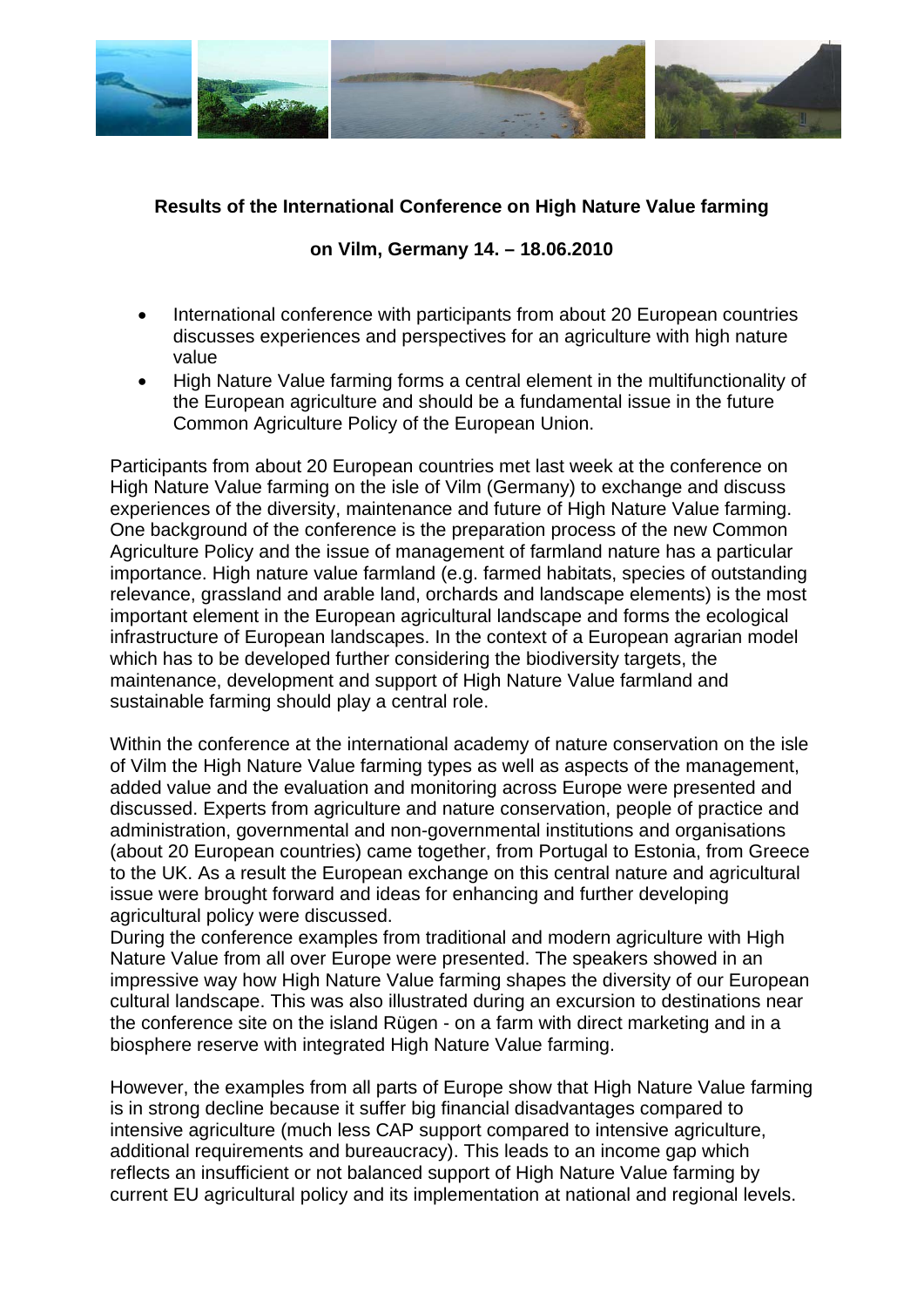

## **Results of the International Conference on High Nature Value farming**

## **on Vilm, Germany 14. – 18.06.2010**

- International conference with participants from about 20 European countries discusses experiences and perspectives for an agriculture with high nature value
- High Nature Value farming forms a central element in the multifunctionality of the European agriculture and should be a fundamental issue in the future Common Agriculture Policy of the European Union.

Participants from about 20 European countries met last week at the conference on High Nature Value farming on the isle of Vilm (Germany) to exchange and discuss experiences of the diversity, maintenance and future of High Nature Value farming. One background of the conference is the preparation process of the new Common Agriculture Policy and the issue of management of farmland nature has a particular importance. High nature value farmland (e.g. farmed habitats, species of outstanding relevance, grassland and arable land, orchards and landscape elements) is the most important element in the European agricultural landscape and forms the ecological infrastructure of European landscapes. In the context of a European agrarian model which has to be developed further considering the biodiversity targets, the maintenance, development and support of High Nature Value farmland and sustainable farming should play a central role.

Within the conference at the international academy of nature conservation on the isle of Vilm the High Nature Value farming types as well as aspects of the management, added value and the evaluation and monitoring across Europe were presented and discussed. Experts from agriculture and nature conservation, people of practice and administration, governmental and non-governmental institutions and organisations (about 20 European countries) came together, from Portugal to Estonia, from Greece to the UK. As a result the European exchange on this central nature and agricultural issue were brought forward and ideas for enhancing and further developing agricultural policy were discussed.

During the conference examples from traditional and modern agriculture with High Nature Value from all over Europe were presented. The speakers showed in an impressive way how High Nature Value farming shapes the diversity of our European cultural landscape. This was also illustrated during an excursion to destinations near the conference site on the island Rügen - on a farm with direct marketing and in a biosphere reserve with integrated High Nature Value farming.

However, the examples from all parts of Europe show that High Nature Value farming is in strong decline because it suffer big financial disadvantages compared to intensive agriculture (much less CAP support compared to intensive agriculture, additional requirements and bureaucracy). This leads to an income gap which reflects an insufficient or not balanced support of High Nature Value farming by current EU agricultural policy and its implementation at national and regional levels.